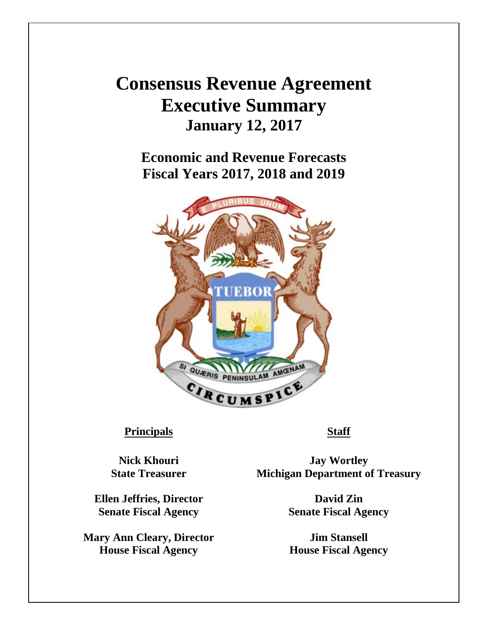## **Consensus Revenue Agreement Executive Summary January 12, 2017**

**Economic and Revenue Forecasts Fiscal Years 2017, 2018 and 2019** 



## **Principals Staff**

**Ellen Jeffries, Director David Zin Senate Fiscal Agency Senate Fiscal Agency**

**Mary Ann Cleary, Director Jim Stansell House Fiscal Agency House Fiscal Agency**

**Nick Khouri Jay Wortley State Treasurer Michigan Department of Treasury**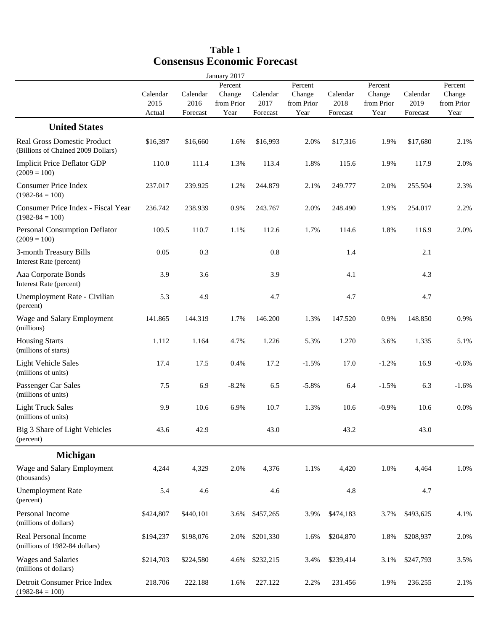|                                                                          |                |                  | January 2017       |                  |                    |                  |                    |                  |                    |
|--------------------------------------------------------------------------|----------------|------------------|--------------------|------------------|--------------------|------------------|--------------------|------------------|--------------------|
|                                                                          | Calendar       | Calendar         | Percent<br>Change  | Calendar         | Percent<br>Change  | Calendar         | Percent<br>Change  | Calendar         | Percent<br>Change  |
|                                                                          | 2015<br>Actual | 2016<br>Forecast | from Prior<br>Year | 2017<br>Forecast | from Prior<br>Year | 2018<br>Forecast | from Prior<br>Year | 2019<br>Forecast | from Prior<br>Year |
| <b>United States</b>                                                     |                |                  |                    |                  |                    |                  |                    |                  |                    |
| <b>Real Gross Domestic Product</b><br>(Billions of Chained 2009 Dollars) | \$16,397       | \$16,660         | 1.6%               | \$16,993         | 2.0%               | \$17,316         | 1.9%               | \$17,680         | 2.1%               |
| <b>Implicit Price Deflator GDP</b><br>$(2009 = 100)$                     | 110.0          | 111.4            | 1.3%               | 113.4            | 1.8%               | 115.6            | 1.9%               | 117.9            | 2.0%               |
| <b>Consumer Price Index</b><br>$(1982 - 84 = 100)$                       | 237.017        | 239.925          | 1.2%               | 244.879          | 2.1%               | 249.777          | 2.0%               | 255.504          | 2.3%               |
| Consumer Price Index - Fiscal Year<br>$(1982 - 84 = 100)$                | 236.742        | 238.939          | 0.9%               | 243.767          | 2.0%               | 248.490          | 1.9%               | 254.017          | 2.2%               |
| Personal Consumption Deflator<br>$(2009 = 100)$                          | 109.5          | 110.7            | 1.1%               | 112.6            | 1.7%               | 114.6            | 1.8%               | 116.9            | 2.0%               |
| 3-month Treasury Bills<br>Interest Rate (percent)                        | 0.05           | 0.3              |                    | 0.8              |                    | 1.4              |                    | 2.1              |                    |
| Aaa Corporate Bonds<br>Interest Rate (percent)                           | 3.9            | 3.6              |                    | 3.9              |                    | 4.1              |                    | 4.3              |                    |
| Unemployment Rate - Civilian<br>(percent)                                | 5.3            | 4.9              |                    | 4.7              |                    | 4.7              |                    | 4.7              |                    |
| Wage and Salary Employment<br>(millions)                                 | 141.865        | 144.319          | 1.7%               | 146.200          | 1.3%               | 147.520          | 0.9%               | 148.850          | 0.9%               |
| <b>Housing Starts</b><br>(millions of starts)                            | 1.112          | 1.164            | 4.7%               | 1.226            | 5.3%               | 1.270            | 3.6%               | 1.335            | 5.1%               |
| <b>Light Vehicle Sales</b><br>(millions of units)                        | 17.4           | 17.5             | 0.4%               | 17.2             | $-1.5%$            | 17.0             | $-1.2%$            | 16.9             | $-0.6%$            |
| Passenger Car Sales<br>(millions of units)                               | $7.5\,$        | 6.9              | $-8.2%$            | 6.5              | $-5.8%$            | 6.4              | $-1.5%$            | 6.3              | $-1.6%$            |
| <b>Light Truck Sales</b><br>(millions of units)                          | 9.9            | 10.6             | 6.9%               | 10.7             | 1.3%               | 10.6             | $-0.9%$            | 10.6             | 0.0%               |
| Big 3 Share of Light Vehicles<br>(percent)                               | 43.6           | 42.9             |                    | 43.0             |                    | 43.2             |                    | 43.0             |                    |
| <b>Michigan</b>                                                          |                |                  |                    |                  |                    |                  |                    |                  |                    |
| Wage and Salary Employment<br>(thousands)                                | 4,244          | 4,329            | 2.0%               | 4,376            | 1.1%               | 4,420            | 1.0%               | 4,464            | 1.0%               |
| <b>Unemployment Rate</b><br>(percent)                                    | 5.4            | 4.6              |                    | 4.6              |                    | 4.8              |                    | 4.7              |                    |
| Personal Income<br>(millions of dollars)                                 | \$424,807      | \$440,101        | 3.6%               | \$457,265        | 3.9%               | \$474,183        | 3.7%               | \$493,625        | 4.1%               |
| Real Personal Income<br>(millions of 1982-84 dollars)                    | \$194,237      | \$198,076        | 2.0%               | \$201,330        | 1.6%               | \$204,870        | 1.8%               | \$208,937        | 2.0%               |
| <b>Wages and Salaries</b><br>(millions of dollars)                       | \$214,703      | \$224,580        | 4.6%               | \$232,215        | 3.4%               | \$239,414        | 3.1%               | \$247,793        | 3.5%               |
| Detroit Consumer Price Index<br>$(1982 - 84 = 100)$                      | 218.706        | 222.188          | 1.6%               | 227.122          | 2.2%               | 231.456          | 1.9%               | 236.255          | 2.1%               |

## **Table 1 Consensus Economic Forecast**